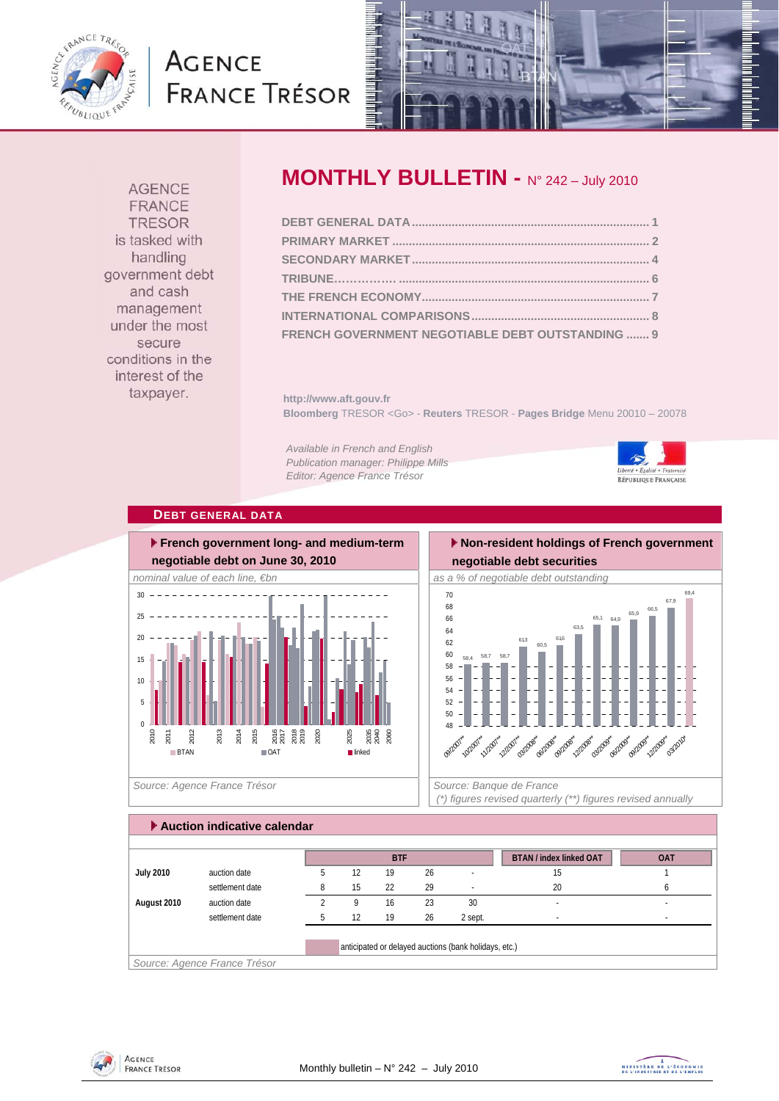

# **AGENCE FRANCE TRÉSOR**



**AGENCE FRANCE TRESOR** is tasked with handling government debt and cash management under the most secure conditions in the interest of the taxpayer.

## **MONTHLY BULLETIN -** N° 242 – July 2010

| FRENCH GOVERNMENT NEGOTIABLE DEBT OUTSTANDING  9 |  |
|--------------------------------------------------|--|

**http://www.aft.gouv.fr Bloomberg** TRESOR <Go> - **Reuters** TRESOR - **Pages Bridge** Menu 20010 – 20078

*Available in French and English Publication manager: Philippe Mills Editor: Agence France Trésor* 



#### **DEBT GENERAL DATA**



### **Non-resident holdings of French government negotiable debt securities**



 *(\*) figures revised quarterly (\*\*) figures revised annually* 

#### **Auction indicative calendar**

|                  |                 |   |    | <b>BTF</b> |    |                                                       | <b>BTAN / index linked OAT</b> | <b>OAT</b> |
|------------------|-----------------|---|----|------------|----|-------------------------------------------------------|--------------------------------|------------|
| <b>July 2010</b> | auction date    |   | 12 | 19         | 26 |                                                       | 15                             |            |
|                  | settlement date | 8 | 15 | 22         | 29 |                                                       | 20                             |            |
| August 2010      | auction date    |   | Q  | 16         | 23 | 30                                                    |                                |            |
|                  | settlement date | 5 | 12 | 19         | 26 | 2 sept.                                               |                                |            |
|                  |                 |   |    |            |    |                                                       |                                |            |
|                  |                 |   |    |            |    | anticipated or delayed auctions (bank holidays, etc.) |                                |            |



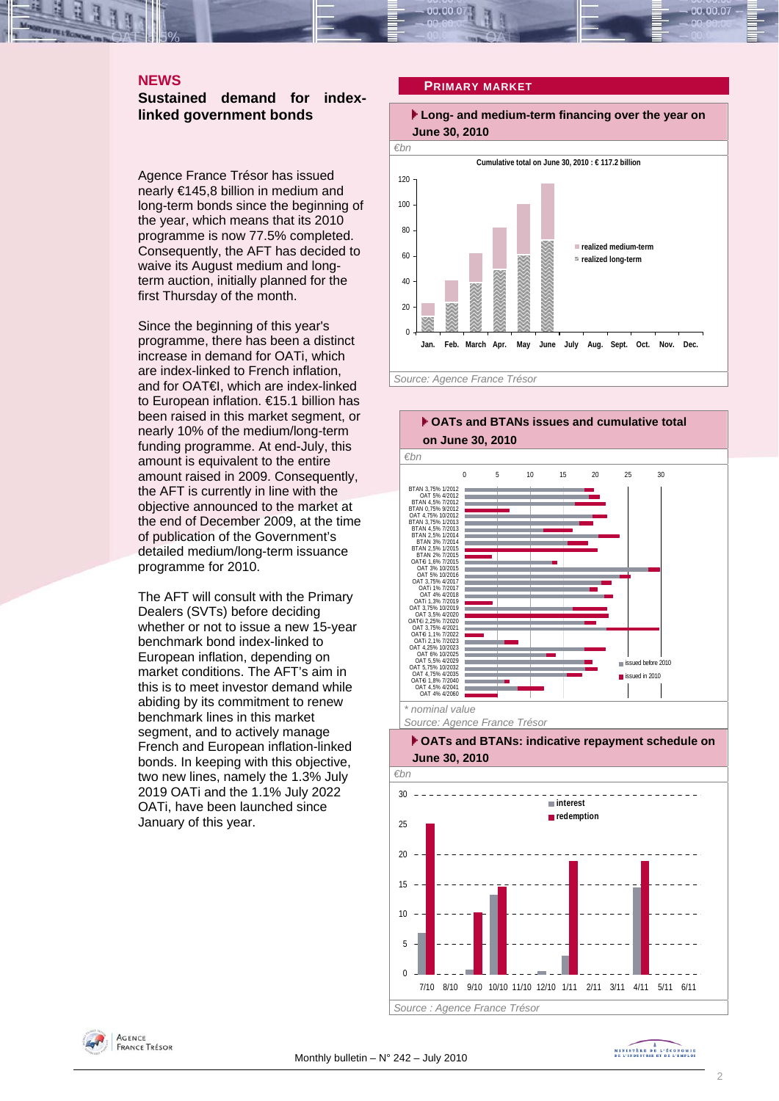#### **NEWS**

**Sustained demand for indexlinked government bonds** 

Agence France Trésor has issued nearly €145,8 billion in medium and long-term bonds since the beginning of the year, which means that its 2010 programme is now 77.5% completed. Consequently, the AFT has decided to waive its August medium and longterm auction, initially planned for the first Thursday of the month.

Since the beginning of this year's programme, there has been a distinct increase in demand for OATi, which are index-linked to French inflation, and for OAT€I, which are index-linked to European inflation. €15.1 billion has been raised in this market segment, or nearly 10% of the medium/long-term funding programme. At end-July, this amount is equivalent to the entire amount raised in 2009. Consequently, the AFT is currently in line with the objective announced to the market at the end of December 2009, at the time of publication of the Government's detailed medium/long-term issuance programme for 2010.

The AFT will consult with the Primary Dealers (SVTs) before deciding whether or not to issue a new 15-year benchmark bond index-linked to European inflation, depending on market conditions. The AFT's aim in this is to meet investor demand while abiding by its commitment to renew benchmark lines in this market segment, and to actively manage French and European inflation-linked bonds. In keeping with this objective, two new lines, namely the 1.3% July 2019 OATi and the 1.1% July 2022 OATi, have been launched since January of this year.

#### **PRIMARY MARKET**

 **Long- and medium-term financing over the year on June 30, 2010** 





*Source : Agence France Trésor* 

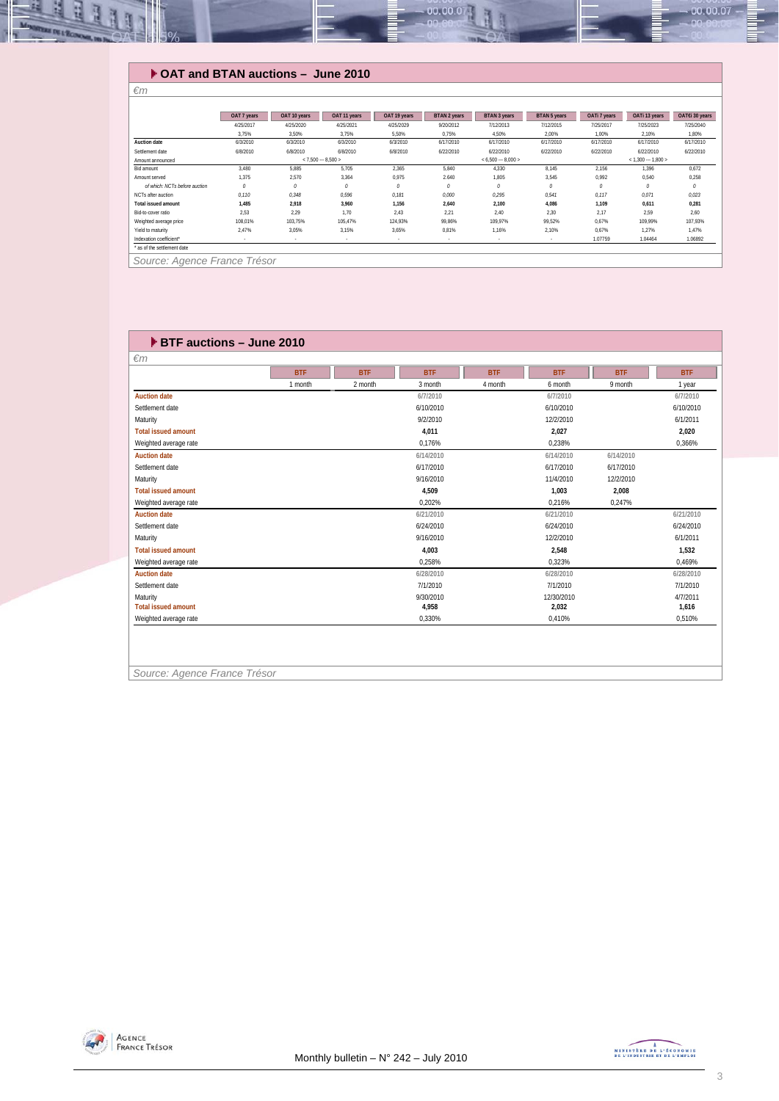

#### **OAT and BTAN auctions – June 2010**

| $\epsilon$ m                  |             |               |                     |              |              |                     |               |              |                     |                |
|-------------------------------|-------------|---------------|---------------------|--------------|--------------|---------------------|---------------|--------------|---------------------|----------------|
|                               |             |               |                     |              |              |                     |               |              |                     |                |
|                               | OAT 7 years | OAT 10 years  | OAT 11 years        | OAT 19 years | BTAN 2 years | <b>BTAN 3 years</b> | BTAN 5 years  | OATi 7 years | OATi 13 years       | OAT€i 30 years |
|                               | 4/25/2017   | 4/25/2020     | 4/25/2021           | 4/25/2029    | 9/20/2012    | 7/12/2013           | 7/12/2015     | 7/25/2017    | 7/25/2023           | 7/25/2040      |
|                               | 3,75%       | 3,50%         | 3.75%               | 5,50%        | 0,75%        | 4,50%               | 2,00%         | 1,00%        | 2,10%               | 1,80%          |
| Auction date                  | 6/3/2010    | 6/3/2010      | 6/3/2010            | 6/3/2010     | 6/17/2010    | 6/17/2010           | 6/17/2010     | 6/17/2010    | 6/17/2010           | 6/17/2010      |
| Settlement date               | 6/8/2010    | 6/8/2010      | 6/8/2010            | 6/8/2010     | 6/22/2010    | 6/22/2010           | 6/22/2010     | 6/22/2010    | 6/22/2010           | 6/22/2010      |
| Amount announced              |             |               | $< 7.500 - 8.500 >$ |              |              | $< 6,500 - 8,000 >$ |               |              | $< 1.300 - 1.800 >$ |                |
| Bid amount                    | 3,480       | 5.885         | 5,705               | 2,365        | 5,840        | 4.330               | 8.145         | 2,156        | 1.396               | 0,672          |
| Amount served                 | 1.375       | 2,570         | 3,364               | 0,975        | 2.640        | 1.805               | 3,545         | 0,992        | 0,540               | 0,258          |
| of which: NCTs before auction | 0           | $\mathcal{O}$ | 0                   | $\theta$     | 0            | 0                   | $\mathcal{O}$ | 0            | 0                   | 0              |
| NCTs after auction            | 0.110       | 0,348         | 0,596               | 0.181        | 0,000        | 0.295               | 0,541         | 0,117        | 0,071               | 0,023          |
| Total issued amount           | 1.485       | 2,918         | 3,960               | 1,156        | 2,640        | 2,100               | 4,086         | 1.109        | 0.611               | 0.281          |
| Bid-to-cover ratio            | 2,53        | 2.29          | 1.70                | 2.43         | 2,21         | 2,40                | 2.30          | 2,17         | 2,59                | 2.60           |
| Weighted average price        | 108,01%     | 103,75%       | 105,47%             | 124,93%      | 99,86%       | 109.97%             | 99,52%        | 0,67%        | 109,99%             | 107,93%        |
| Yield to maturity             | 2.47%       | 3.05%         | 3.15%               | 3.65%        | 0.81%        | 1,16%               | 2.10%         | 0,67%        | 1.27%               | 1.47%          |
| Indexation coefficient*       | $\sim$      | $\sim$        | $\sim$              | $\sim$       | $\sim$       | $\sim$              | $\sim$        | 1.07759      | 1.04464             | 1.06892        |
| * as of the settlement date   |             |               |                     |              |              |                     |               |              |                     |                |
|                               |             |               |                     |              |              |                     |               |              |                     |                |

*Source: Agence France Trésor* 

| $\blacktriangleright$ BTF auctions - June 2010 |            |            |            |            |            |            |            |
|------------------------------------------------|------------|------------|------------|------------|------------|------------|------------|
| $\epsilon$ m                                   |            |            |            |            |            |            |            |
|                                                | <b>BTF</b> | <b>BTF</b> | <b>BTF</b> | <b>BTF</b> | <b>BTF</b> | <b>BTF</b> | <b>BTF</b> |
|                                                | 1 month    | 2 month    | 3 month    | 4 month    | 6 month    | 9 month    | 1 year     |
| <b>Auction date</b>                            |            |            | 6/7/2010   |            | 6/7/2010   |            | 6/7/2010   |
| Settlement date                                |            |            | 6/10/2010  |            | 6/10/2010  |            | 6/10/2010  |
| Maturity                                       |            |            | 9/2/2010   |            | 12/2/2010  |            | 6/1/2011   |
| <b>Total issued amount</b>                     |            |            | 4,011      |            | 2,027      |            | 2,020      |
| Weighted average rate                          |            |            | 0.176%     |            | 0.238%     |            | 0,366%     |
| <b>Auction date</b>                            |            |            | 6/14/2010  |            | 6/14/2010  | 6/14/2010  |            |
| Settlement date                                |            |            | 6/17/2010  |            | 6/17/2010  | 6/17/2010  |            |
| Maturity                                       |            |            | 9/16/2010  |            | 11/4/2010  | 12/2/2010  |            |
| <b>Total issued amount</b>                     |            |            | 4.509      |            | 1.003      | 2.008      |            |
| Weighted average rate                          |            |            | 0.202%     |            | 0.216%     | 0.247%     |            |
| <b>Auction date</b>                            |            |            | 6/21/2010  |            | 6/21/2010  |            | 6/21/2010  |
| Settlement date                                |            |            | 6/24/2010  |            | 6/24/2010  |            | 6/24/2010  |
| Maturity                                       |            |            | 9/16/2010  |            | 12/2/2010  |            | 6/1/2011   |
| <b>Total issued amount</b>                     |            |            | 4.003      |            | 2,548      |            | 1,532      |
| Weighted average rate                          |            |            | 0.258%     |            | 0.323%     |            | 0.469%     |
| <b>Auction date</b>                            |            |            | 6/28/2010  |            | 6/28/2010  |            | 6/28/2010  |
| Settlement date                                |            |            | 7/1/2010   |            | 7/1/2010   |            | 7/1/2010   |
| Maturity                                       |            |            | 9/30/2010  |            | 12/30/2010 |            | 4/7/2011   |
| <b>Total issued amount</b>                     |            |            | 4.958      |            | 2,032      |            | 1,616      |
| Weighted average rate                          |            |            | 0,330%     |            | 0.410%     |            | 0.510%     |
|                                                |            |            |            |            |            |            |            |

*Source: Agence France Trésor* 

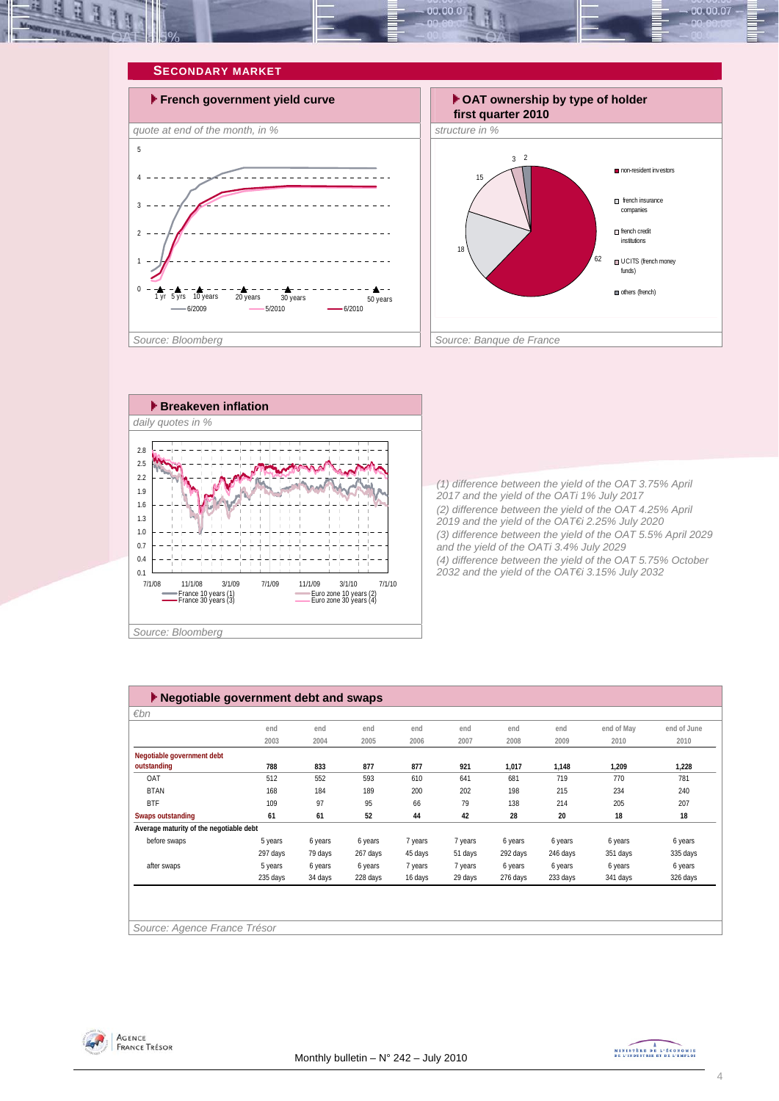







*(1) difference between the yield of the OAT 3.75% April 2017 and the yield of the OATi 1% July 2017 (2) difference between the yield of the OAT 4.25% April 2019 and the yield of the OAT€i 2.25% July 2020 (3) difference between the yield of the OAT 5.5% April 2029 and the yield of the OATi 3.4% July 2029 (4) difference between the yield of the OAT 5.75% October 2032 and the yield of the OAT€i 3.15% July 2032* 

| $\blacktriangleright$ Negotiable government debt and swaps |          |         |          |         |         |          |          |            |             |
|------------------------------------------------------------|----------|---------|----------|---------|---------|----------|----------|------------|-------------|
| $\varepsilon$ bn                                           |          |         |          |         |         |          |          |            |             |
|                                                            | end      | end     | end      | end     | end     | end      | end      | end of May | end of June |
|                                                            | 2003     | 2004    | 2005     | 2006    | 2007    | 2008     | 2009     | 2010       | 2010        |
| Negotiable government debt                                 |          |         |          |         |         |          |          |            |             |
| outstanding                                                | 788      | 833     | 877      | 877     | 921     | 1,017    | 1,148    | 1,209      | 1,228       |
| OAT                                                        | 512      | 552     | 593      | 610     | 641     | 681      | 719      | 770        | 781         |
| <b>BTAN</b>                                                | 168      | 184     | 189      | 200     | 202     | 198      | 215      | 234        | 240         |
| <b>BTF</b>                                                 | 109      | 97      | 95       | 66      | 79      | 138      | 214      | 205        | 207         |
| Swaps outstanding                                          | 61       | 61      | 52       | 44      | 42      | 28       | 20       | 18         | 18          |
| Average maturity of the negotiable debt                    |          |         |          |         |         |          |          |            |             |
| before swaps                                               | 5 years  | 6 years | 6 years  | 7 years | 7 years | 6 years  | 6 years  | 6 years    | 6 years     |
|                                                            | 297 days | 79 days | 267 days | 45 days | 51 days | 292 days | 246 days | 351 days   | 335 days    |
| after swaps                                                | 5 years  | 6 years | 6 years  | 7 years | 7 years | 6 years  | 6 years  | 6 years    | 6 years     |
|                                                            | 235 days | 34 days | 228 days | 16 days | 29 days | 276 days | 233 days | 341 days   | 326 days    |
|                                                            |          |         |          |         |         |          |          |            |             |
|                                                            |          |         |          |         |         |          |          |            |             |
|                                                            |          |         |          |         |         |          |          |            |             |
| Source: Agence France Trésor                               |          |         |          |         |         |          |          |            |             |



MINISTRE DE L'ÉCONOMIE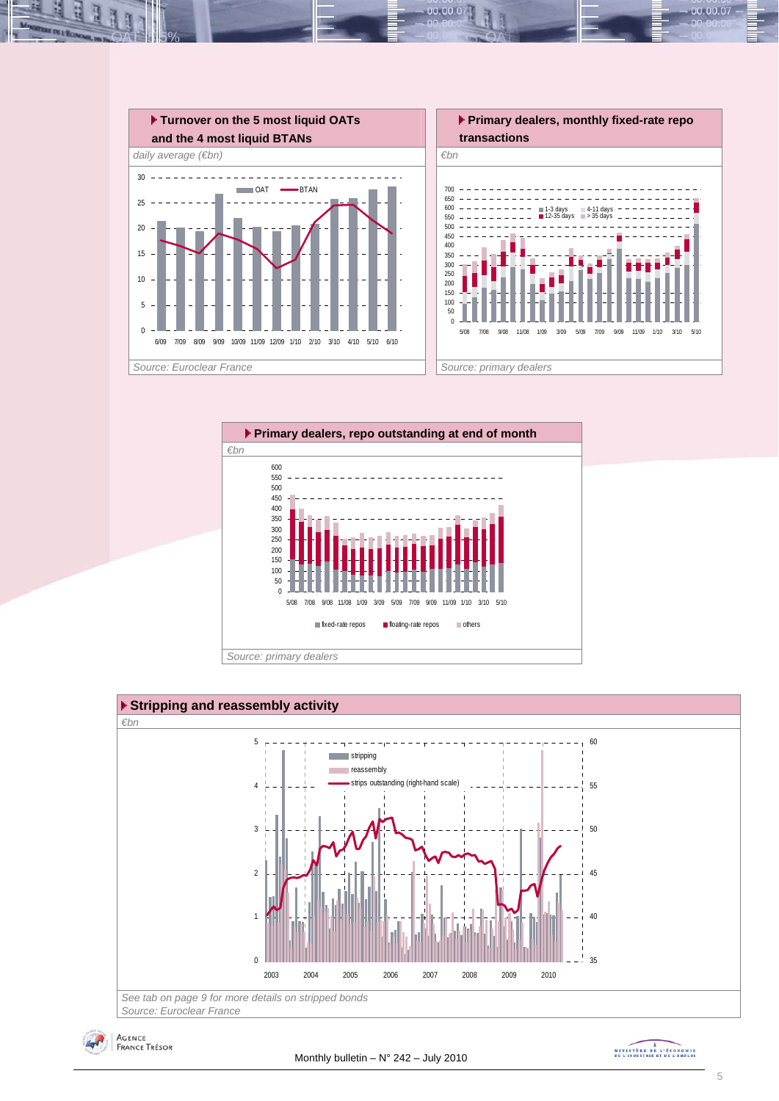

 $00.00.0$ 







MINISTRE DE L'ÉCONOMIE

00.00.07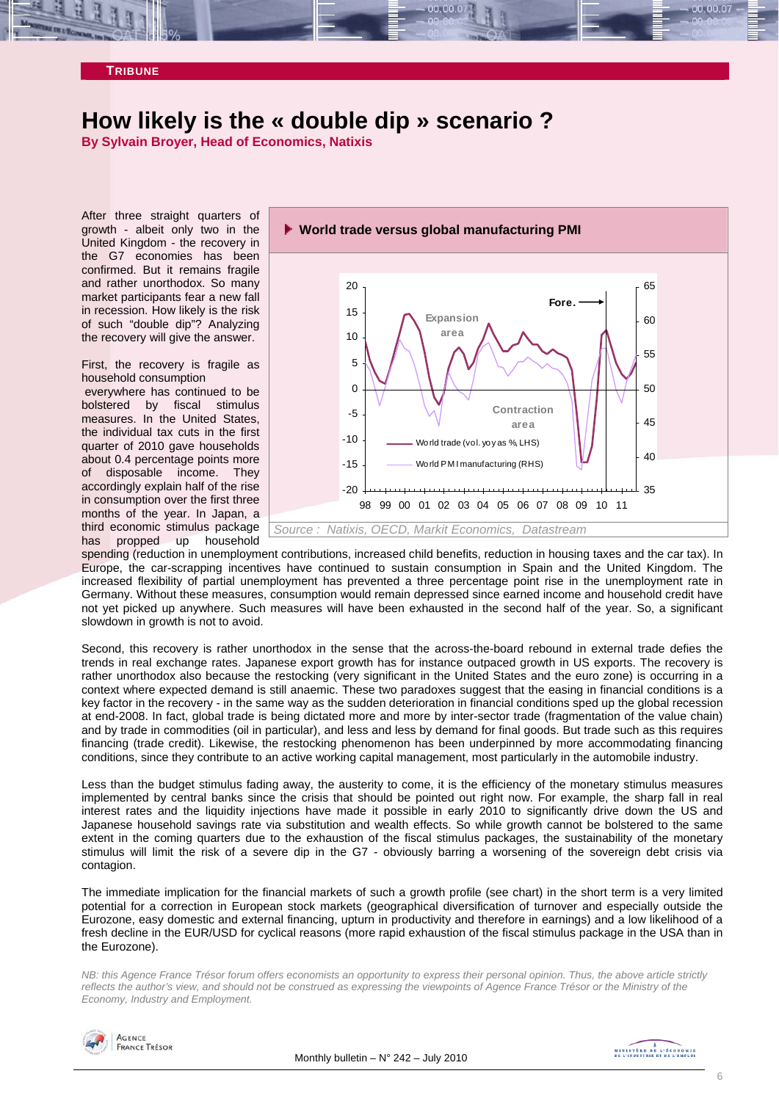# **How likely is the « double dip » scenario ?**

**By Sylvain Broyer, Head of Economics, Natixis** 

After three straight quarters of growth - albeit only two in the United Kingdom - the recovery in the G7 economies has been confirmed. But it remains fragile and rather unorthodox. So many market participants fear a new fall in recession. How likely is the risk of such "double dip"? Analyzing the recovery will give the answer.

First, the recovery is fragile as household consumption

 everywhere has continued to be bolstered by fiscal stimulus measures. In the United States, the individual tax cuts in the first quarter of 2010 gave households about 0.4 percentage points more of disposable income. They accordingly explain half of the rise in consumption over the first three months of the year. In Japan, a third economic stimulus package has propped up household



spending (reduction in unemployment contributions, increased child benefits, reduction in housing taxes and the car tax). In Europe, the car-scrapping incentives have continued to sustain consumption in Spain and the United Kingdom. The increased flexibility of partial unemployment has prevented a three percentage point rise in the unemployment rate in Germany. Without these measures, consumption would remain depressed since earned income and household credit have not yet picked up anywhere. Such measures will have been exhausted in the second half of the year. So, a significant slowdown in growth is not to avoid.

Second, this recovery is rather unorthodox in the sense that the across-the-board rebound in external trade defies the trends in real exchange rates. Japanese export growth has for instance outpaced growth in US exports. The recovery is rather unorthodox also because the restocking (very significant in the United States and the euro zone) is occurring in a context where expected demand is still anaemic. These two paradoxes suggest that the easing in financial conditions is a key factor in the recovery - in the same way as the sudden deterioration in financial conditions sped up the global recession at end-2008. In fact, global trade is being dictated more and more by inter-sector trade (fragmentation of the value chain) and by trade in commodities (oil in particular), and less and less by demand for final goods. But trade such as this requires financing (trade credit). Likewise, the restocking phenomenon has been underpinned by more accommodating financing conditions, since they contribute to an active working capital management, most particularly in the automobile industry.

Less than the budget stimulus fading away, the austerity to come, it is the efficiency of the monetary stimulus measures implemented by central banks since the crisis that should be pointed out right now. For example, the sharp fall in real interest rates and the liquidity injections have made it possible in early 2010 to significantly drive down the US and Japanese household savings rate via substitution and wealth effects. So while growth cannot be bolstered to the same extent in the coming quarters due to the exhaustion of the fiscal stimulus packages, the sustainability of the monetary stimulus will limit the risk of a severe dip in the G7 - obviously barring a worsening of the sovereign debt crisis via contagion.

The immediate implication for the financial markets of such a growth profile (see chart) in the short term is a very limited potential for a correction in European stock markets (geographical diversification of turnover and especially outside the Eurozone, easy domestic and external financing, upturn in productivity and therefore in earnings) and a low likelihood of a fresh decline in the EUR/USD for cyclical reasons (more rapid exhaustion of the fiscal stimulus package in the USA than in the Eurozone).

*NB: this Agence France Trésor forum offers economists an opportunity to express their personal opinion. Thus, the above article strictly reflects the author's view, and should not be construed as expressing the viewpoints of Agence France Trésor or the Ministry of the Economy, Industry and Employment.* 

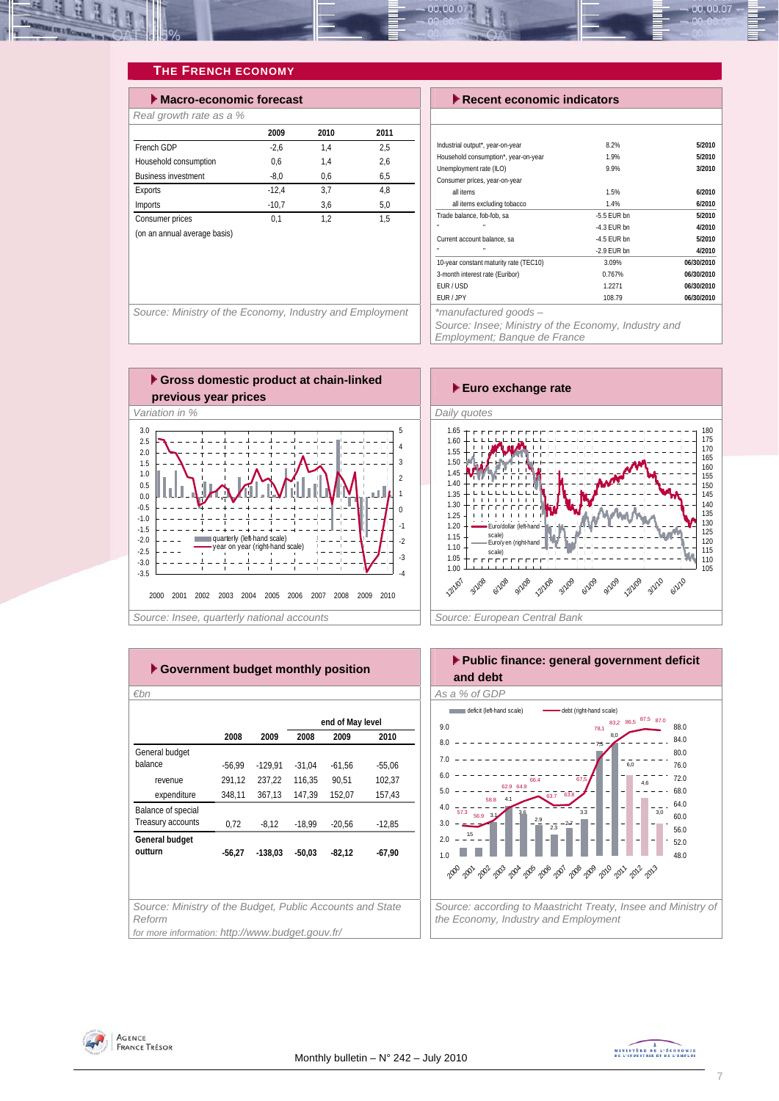

#### **THE FRENCH ECONOMY**

| $\blacktriangleright$ Macro-economic forecast |         | $\blacktriangleright$ Recent economic indicators |      |                                                          |            |
|-----------------------------------------------|---------|--------------------------------------------------|------|----------------------------------------------------------|------------|
| Real growth rate as a %                       |         |                                                  |      |                                                          |            |
|                                               | 2009    | 2010                                             | 2011 |                                                          |            |
| French GDP                                    | $-2,6$  | 1.4                                              | 2,5  | Industrial output*, year-on-year                         | 8.2%       |
| Household consumption                         | 0.6     | 1.4                                              | 2,6  | Household consumption*, year-on-year                     | 1.9%       |
| <b>Business investment</b>                    | $-8.0$  | 0.6                                              | 6,5  | Unemployment rate (ILO)<br>Consumer prices, year-on-year | 9.9%       |
| Exports                                       | $-12.4$ | 3.7                                              | 4.8  | all items                                                | 1.5%       |
| Imports                                       | $-10.7$ | 3.6                                              | 5,0  | all items excluding tobacco                              | 1.4%       |
| Consumer prices                               | 0.1     | 1.2                                              | 1,5  | Trade balance, fob-fob, sa                               | $-5.5$ EUR |
| (on an annual average basis)                  |         |                                                  |      |                                                          | $-4.3$ EUR |
|                                               |         |                                                  |      | Current account balance, sa                              | $-4.5$ EUR |

| $\blacktriangleright$ Recent economic indicators |               |            |  |  |  |  |  |  |
|--------------------------------------------------|---------------|------------|--|--|--|--|--|--|
|                                                  |               |            |  |  |  |  |  |  |
|                                                  |               |            |  |  |  |  |  |  |
| Industrial output*, year-on-year                 | 8.2%          | 5/2010     |  |  |  |  |  |  |
| Household consumption*, year-on-year             | 1.9%          | 5/2010     |  |  |  |  |  |  |
| Unemployment rate (ILO)                          | 9.9%          | 3/2010     |  |  |  |  |  |  |
| Consumer prices, year-on-year                    |               |            |  |  |  |  |  |  |
| all items                                        | 1.5%          | 6/2010     |  |  |  |  |  |  |
| all items excluding tobacco                      | 1.4%          | 6/2010     |  |  |  |  |  |  |
| Trade balance, fob-fob, sa                       | $-5.5$ EUR bn | 5/2010     |  |  |  |  |  |  |
|                                                  | $-4.3$ FUR bn | 4/2010     |  |  |  |  |  |  |
| Current account balance, sa                      | -4.5 EUR bn   | 5/2010     |  |  |  |  |  |  |
|                                                  | $-2.9$ EUR bn | 4/2010     |  |  |  |  |  |  |
| 10-year constant maturity rate (TEC10)           | 3.09%         | 06/30/2010 |  |  |  |  |  |  |
| 3-month interest rate (Euribor)                  | 0.767%        | 06/30/2010 |  |  |  |  |  |  |
| EUR/USD                                          | 1.2271        | 06/30/2010 |  |  |  |  |  |  |
| EUR / JPY                                        | 108.79        | 06/30/2010 |  |  |  |  |  |  |
| *manufactured goods -                            |               |            |  |  |  |  |  |  |



*Source: Insee; Ministry of the Economy, Industry and Employment; Banque de France* 





| €bn                                                                 |                  |           |          |          |          |  |  |  |  |  |
|---------------------------------------------------------------------|------------------|-----------|----------|----------|----------|--|--|--|--|--|
|                                                                     | end of May level |           |          |          |          |  |  |  |  |  |
|                                                                     | 2008             | 2009      | 2008     | 2009     | 2010     |  |  |  |  |  |
| General budget                                                      |                  |           |          |          |          |  |  |  |  |  |
| balance                                                             | $-56,99$         | $-129,91$ | $-31,04$ | $-61,56$ | $-55,06$ |  |  |  |  |  |
| revenue                                                             | 291,12           | 237.22    | 116.35   | 90.51    | 102.37   |  |  |  |  |  |
| expenditure                                                         | 348,11           | 367,13    | 147,39   | 152,07   | 157,43   |  |  |  |  |  |
| Balance of special                                                  |                  |           |          |          |          |  |  |  |  |  |
| Treasury accounts                                                   | 0,72             | $-8,12$   | $-18,99$ | $-20,56$ | $-12,85$ |  |  |  |  |  |
| General budget                                                      |                  |           |          |          |          |  |  |  |  |  |
| outturn                                                             | $-56.27$         | $-138.03$ | $-50,03$ | $-82,12$ | $-67,90$ |  |  |  |  |  |
|                                                                     |                  |           |          |          |          |  |  |  |  |  |
|                                                                     |                  |           |          |          |          |  |  |  |  |  |
|                                                                     |                  |           |          |          |          |  |  |  |  |  |
| Source: Ministry of the Budget, Public Accounts and State<br>Reform |                  |           |          |          |          |  |  |  |  |  |
| for more information: http://www.budget.gouv.fr/                    |                  |           |          |          |          |  |  |  |  |  |



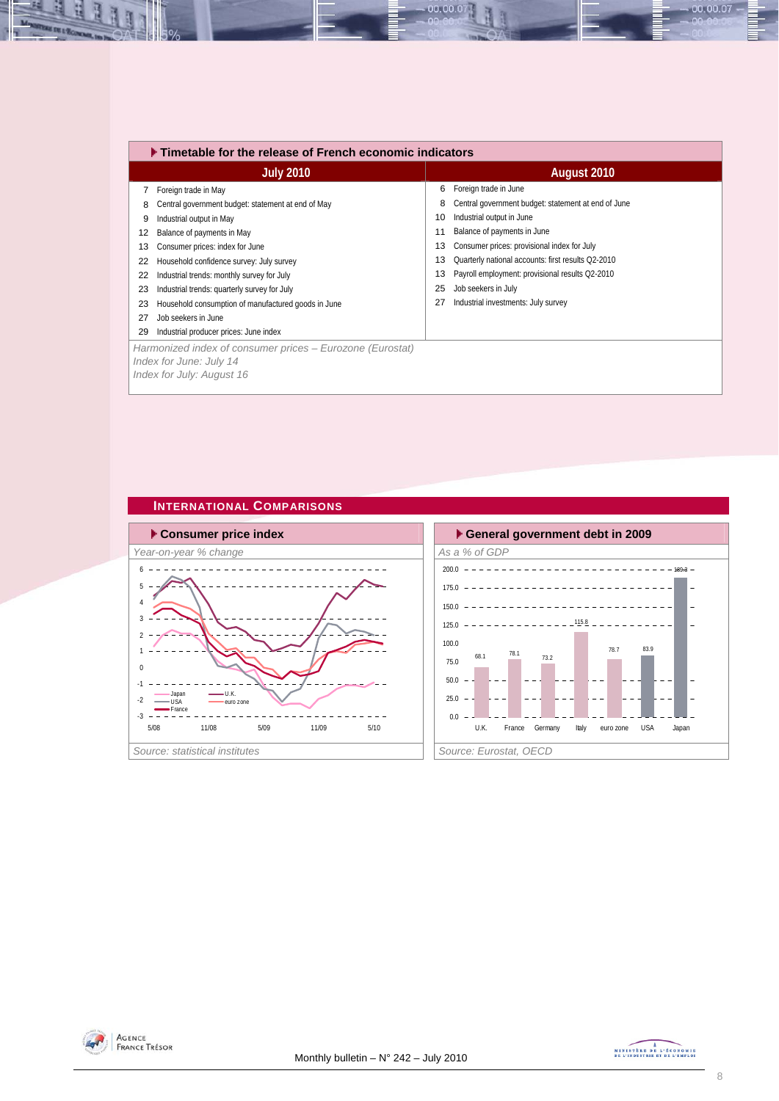|    | $\blacktriangleright$ Timetable for the release of French economic indicators |             |                                                     |  |  |  |  |  |  |  |
|----|-------------------------------------------------------------------------------|-------------|-----------------------------------------------------|--|--|--|--|--|--|--|
|    | <b>July 2010</b>                                                              | August 2010 |                                                     |  |  |  |  |  |  |  |
|    | Foreign trade in May                                                          | 6           | Foreign trade in June                               |  |  |  |  |  |  |  |
| 8  | Central government budget: statement at end of May                            | 8           | Central government budget: statement at end of June |  |  |  |  |  |  |  |
| 9  | Industrial output in May                                                      | 10          | Industrial output in June                           |  |  |  |  |  |  |  |
| 12 | Balance of payments in May                                                    | 11          | Balance of payments in June                         |  |  |  |  |  |  |  |
| 13 | Consumer prices: index for June                                               | 13          | Consumer prices: provisional index for July         |  |  |  |  |  |  |  |
| 22 | Household confidence survey: July survey                                      | 13          | Quarterly national accounts: first results Q2-2010  |  |  |  |  |  |  |  |
| 22 | Industrial trends: monthly survey for July                                    | 13          | Payroll employment: provisional results Q2-2010     |  |  |  |  |  |  |  |
| 23 | Industrial trends: quarterly survey for July                                  | 25          | Job seekers in July                                 |  |  |  |  |  |  |  |
| 23 | Household consumption of manufactured goods in June                           | 27          | Industrial investments: July survey                 |  |  |  |  |  |  |  |
| 27 | Job seekers in June                                                           |             |                                                     |  |  |  |  |  |  |  |
| 29 | Industrial producer prices: June index                                        |             |                                                     |  |  |  |  |  |  |  |
|    | Harmonized index of consumer prices - Eurozone (Eurostat)                     |             |                                                     |  |  |  |  |  |  |  |
|    | Index for June: July 14                                                       |             |                                                     |  |  |  |  |  |  |  |
|    | Index for July: August 16                                                     |             |                                                     |  |  |  |  |  |  |  |
|    |                                                                               |             |                                                     |  |  |  |  |  |  |  |

00.00.07

### **INTERNATIONAL COMPARISONS**







N

 $00.00.07$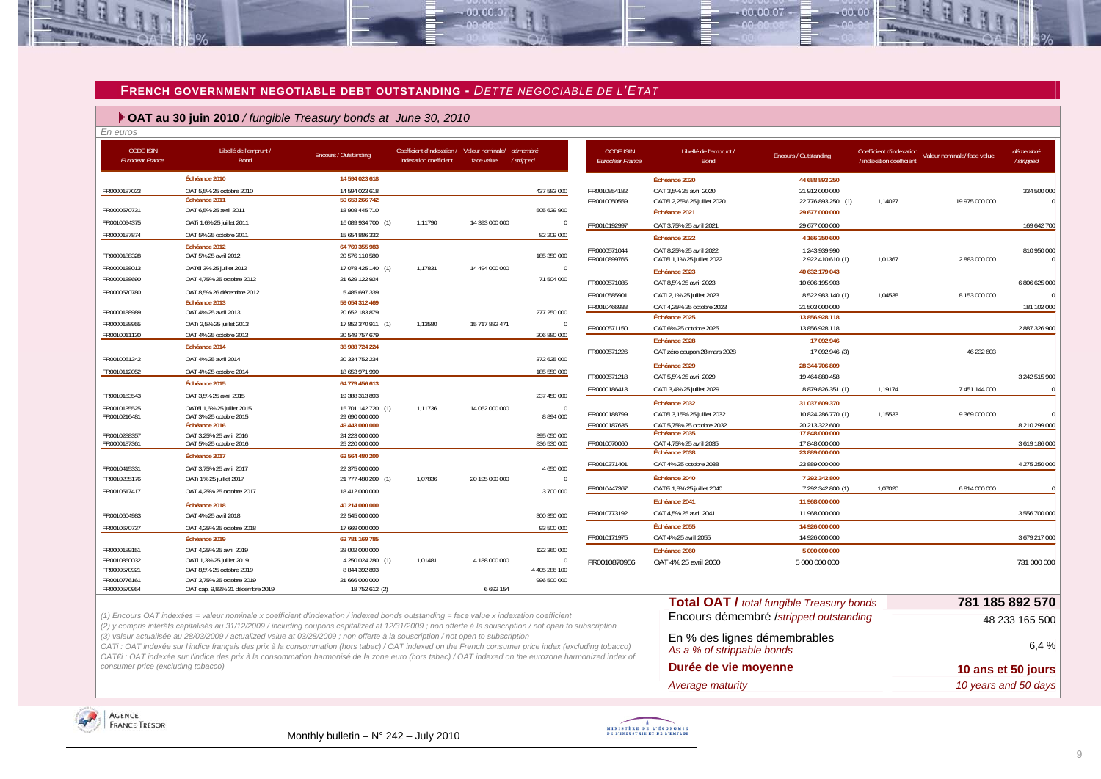#### **FRENCH GOVERNMENT NEGOTIABLE DEBT OUTSTANDING -** *DETTE NEGOCIABLE DE L'ETAT*

 $00,00,0$ 

#### **OAT au 30 juin 2010** */ fungible Treasury bonds at June 30, 2010*

| En euros                                    |                                         |                                  |                                                                                |                |               |                                             |                                                          |                                      |                                                      |                             |                       |
|---------------------------------------------|-----------------------------------------|----------------------------------|--------------------------------------------------------------------------------|----------------|---------------|---------------------------------------------|----------------------------------------------------------|--------------------------------------|------------------------------------------------------|-----------------------------|-----------------------|
| <b>CODE ISIN</b><br><b>Euroclear France</b> | Libellé de l'emprunt /<br>Bond          | Encours / Outstanding            | Coefficient d'indexation / Valeur nominale/ démembré<br>indexation coefficient | face value     | / stripped    | <b>CODE ISIN</b><br><b>Euroclear France</b> | Libellé de l'emprunt /<br>Bond                           | <b>Encours / Outstanding</b>         | Coefficient d'indexation<br>/ indexation coefficient | Valeur nominale/ face value | démembré<br>/stripped |
|                                             | Échéance 2010                           | 14 594 023 618                   |                                                                                |                |               |                                             | Échéance 2020                                            | 44 688 893 250                       |                                                      |                             |                       |
| FR0000187023                                | OAT 5,5% 25 octobre 2010                | 14 594 023 618                   |                                                                                |                | 437 583 000   | FR0010854182                                | OAT 3,5% 25 avril 2020                                   | 21 912 000 000                       |                                                      |                             | 334 500 000           |
|                                             | Échéance 2011                           | 50 653 266 742                   |                                                                                |                |               | FR0010050559                                | OATEi 2,25% 25 juillet 2020                              | 22 776 893 250 (1)                   | 1,14027                                              | 19 975 000 000              |                       |
| FR0000570731                                | OAT 6,5% 25 avril 2011                  | 18 908 445 710                   |                                                                                |                | 505 629 900   |                                             | Échéance 2021                                            | 29 677 000 000                       |                                                      |                             |                       |
| FR0010094375                                | OATi 1,6% 25 juillet 2011               | 16 089 934 700 (1)               | 1,11790                                                                        | 14 393 000 000 | $\Omega$      | FR0010192997                                | OAT 3,75% 25 avril 2021                                  | 29 677 000 000                       |                                                      |                             | 169 642 700           |
| FR0000187874                                | OAT 5% 25 octobre 2011                  | 15 654 886 332                   |                                                                                |                | 82 209 000    |                                             | Échéance 2022                                            | 4 166 350 600                        |                                                      |                             |                       |
|                                             | Échéance 2012                           | 64 769 355 983                   |                                                                                |                |               | FR0000571044                                | OAT 8.25% 25 avril 2022                                  | 1 243 939 990                        |                                                      |                             | 810 950 000           |
| FR0000188328                                | OAT 5% 25 avril 2012                    | 20 576 110 580                   |                                                                                |                | 185 350 000   | FR0010899765                                | OATEi 1,1% 25 juillet 2022                               | 2 922 410 610 (1)                    | 1,01367                                              | 2 883 000 000               |                       |
| FR0000188013                                | OAT€i 3% 25 juillet 2012                | 17 078 425 140 (1)               | 1,17831                                                                        | 14 494 000 000 | $\Omega$      |                                             | Échéance 2023                                            | 40 632 179 043                       |                                                      |                             |                       |
| FR0000188690                                | OAT 4,75% 25 octobre 2012               | 21 629 122 924                   |                                                                                |                | 71 504 000    | FR0000571085                                | OAT 8,5% 25 avril 2023                                   | 10 606 195 903                       |                                                      |                             | 6 806 625 000         |
| FR0000570780                                | OAT 8.5% 26 décembre 2012               | 5 485 697 339                    |                                                                                |                |               | FR0010585901                                | OATi 2,1% 25 juillet 2023                                | 8 522 983 140 (1)                    | 1,04538                                              | 8 153 000 000               |                       |
|                                             | Échéance 2013                           | 59 054 312 469                   |                                                                                |                |               | FR0010466938                                | OAT 4,25% 25 octobre 2023                                | 21 503 000 000                       |                                                      |                             | 181 102 000           |
| FR0000188989                                | OAT 4% 25 avril 2013                    | 20 652 183 879                   |                                                                                |                | 277 250 000   |                                             | Échéance 2025                                            | 13 856 928 118                       |                                                      |                             |                       |
| FR0000188955                                | OATi 2,5% 25 juillet 2013               | 17 852 370 911 (1)               | 1,13580                                                                        | 15 717 882 471 |               | FR0000571150                                | OAT 6% 25 octobre 2025                                   | 13 856 928 118                       |                                                      |                             | 2 887 326 900         |
| FR0010011130                                | OAT 4% 25 octobre 2013                  | 20 549 757 679                   |                                                                                |                | 206 880 000   |                                             | Échéance 2028                                            | 17 092 946                           |                                                      |                             |                       |
|                                             | Échéance 2014                           | 38 988 724 224                   |                                                                                |                |               | FR0000571226                                | OAT zéro coupon 28 mars 2028                             | 17 092 946 (3)                       |                                                      | 46 232 603                  |                       |
| FR0010061242                                | OAT 4% 25 avril 2014                    | 20 334 752 234                   |                                                                                |                | 372 625 000   |                                             | Échéance 2029                                            | 28 344 706 809                       |                                                      |                             |                       |
| FR0010112052                                | OAT 4% 25 octobre 2014                  | 18 653 971 990                   |                                                                                |                | 185 550 000   | FR0000571218                                | OAT 5,5% 25 avril 2029                                   | 19 464 880 458                       |                                                      |                             | 3 242 515 900         |
|                                             | Échéance 2015                           | 64 779 456 613                   |                                                                                |                |               | FR0000186413                                | OATi 3,4% 25 juillet 2029                                | 8 879 826 351 (1)                    | 1,19174                                              | 7 451 144 000               |                       |
| FR0010163543                                | OAT 3.5% 25 avril 2015                  | 19 388 313 893                   |                                                                                |                | 237 450 000   |                                             |                                                          |                                      |                                                      |                             |                       |
| FR0010135525                                | OATEI 1,6% 25 juillet 2015              | 15 701 142 720 (1)               | 1,11736                                                                        | 14 052 000 000 | $\Omega$      |                                             | Échéance 2032                                            | 31 037 609 370                       |                                                      | 9 369 000 000               |                       |
| FR0010216481                                | OAT 3% 25 octobre 2015<br>Échéance 2016 | 29 690 000 000<br>49 443 000 000 |                                                                                |                | 8 894 000     | FR0000188799<br>FR0000187635                | OATEi 3,15% 25 juillet 2032<br>OAT 5.75% 25 octobre 2032 | 10 824 286 770 (1)<br>20 213 322 600 | 1,15533                                              |                             | 8 210 299 000         |
| FR0010288357                                | OAT 3,25% 25 avril 2016                 | 24 223 000 000                   |                                                                                |                | 395 050 000   |                                             | Échéance 2035                                            | 17 848 000 000                       |                                                      |                             |                       |
| FR0000187361                                | OAT 5% 25 octobre 2016                  | 25 220 000 000                   |                                                                                |                | 836 530 000   | FR0010070060                                | OAT 4,75% 25 avril 2035                                  | 17 848 000 000                       |                                                      |                             | 3 619 186 000         |
|                                             | Échéance 2017                           | 62 564 480 200                   |                                                                                |                |               |                                             | Echéance 2038                                            | 23 889 000 000                       |                                                      |                             |                       |
| FR0010415331                                | OAT 3,75% 25 avril 2017                 | 22 375 000 000                   |                                                                                |                | 4 650 000     | FR0010371401                                | OAT 4% 25 octobre 2038                                   | 23 889 000 000                       |                                                      |                             | 4 275 250 000         |
| FR0010235176                                | OATi 1% 25 juillet 2017                 | 21 777 480 200 (1)               | 1,07836                                                                        | 20 195 000 000 | $\Omega$      |                                             | Échéance 2040                                            | 7 292 342 800                        |                                                      |                             |                       |
| FR0010517417                                | OAT 4,25% 25 octobre 2017               | 18 412 000 000                   |                                                                                |                | 3 700 000     | FR0010447367                                | OATEi 1,8% 25 juillet 2040                               | 7 292 342 800 (1)                    | 1,07020                                              | 6 814 000 000               |                       |
|                                             | Échéance 2018                           | 40 214 000 000                   |                                                                                |                |               |                                             | Échéance 2041                                            | 11 968 000 000                       |                                                      |                             |                       |
| FR0010604983                                | OAT 4% 25 avril 2018                    | 22 545 000 000                   |                                                                                |                | 300 350 000   | FR0010773192                                | OAT 4.5% 25 avril 2041                                   | 11 968 000 000                       |                                                      |                             | 3 556 700 000         |
| FR0010670737                                | OAT 4.25% 25 octobre 2018               | 17 669 000 000                   |                                                                                |                | 93 500 000    |                                             | Échéance 2055                                            | 14 926 000 000                       |                                                      |                             |                       |
|                                             | Échéance 2019                           | 62 781 169 785                   |                                                                                |                |               | FR0010171975                                | OAT 4% 25 avril 2055                                     | 14 926 000 000                       |                                                      |                             | 3 679 217 000         |
| FR0000189151                                | OAT 4.25% 25 avril 2019                 | 28 002 000 000                   |                                                                                |                | 122 360 000   |                                             | Échéance 2060                                            | 5 000 000 000                        |                                                      |                             |                       |
| FR0010850032                                | OATi 1,3% 25 juillet 2019               | 4 250 024 280 (1)                | 1,01481                                                                        | 4 188 000 000  | $\Omega$      | FR0010870956                                | OAT 4% 25 avril 2060                                     | 5 000 000 000                        |                                                      |                             | 731 000 000           |
| FR0000570921                                | OAT 8,5% 25 octobre 2019                | 8 844 392 893                    |                                                                                |                | 4 405 286 100 |                                             |                                                          |                                      |                                                      |                             |                       |
| FR0010776161                                | OAT 3,75% 25 octobre 2019               | 21 666 000 000                   |                                                                                |                | 996 500 000   |                                             |                                                          |                                      |                                                      |                             |                       |
| FR0000570954                                | OAT cap. 9,82% 31 décembre 2019         | 18 752 612 (2)                   |                                                                                | 6 692 154      |               |                                             |                                                          |                                      |                                                      |                             |                       |

| (1) Encours OAT indexées = valeur nominale x coefficient d'indexation / indexed bonds outstanding = face value x indexation coefficient                   |
|-----------------------------------------------------------------------------------------------------------------------------------------------------------|
| (2) y compris intérêts capitalisés au 31/12/2009 / including coupons capitalized at 12/31/2009 ; non offerte à la souscription / not open to subscription |

*(3) valeur actualisée au 28/03/2009 / actualized value at 03/28/2009 ; non offerte à la souscription / not open to subscription*

*OATi : OAT indexée sur l'indice français des prix à la consommation (hors tabac) / OAT indexed on the French consumer price index (excluding tobacco) OAT€i : OAT indexée sur l'indice des prix à la consommation harmonisé de la zone euro (hors tabac) / OAT indexed on the eurozone harmonized index of consumer price (excluding tobacco)* 



no no oz

an no